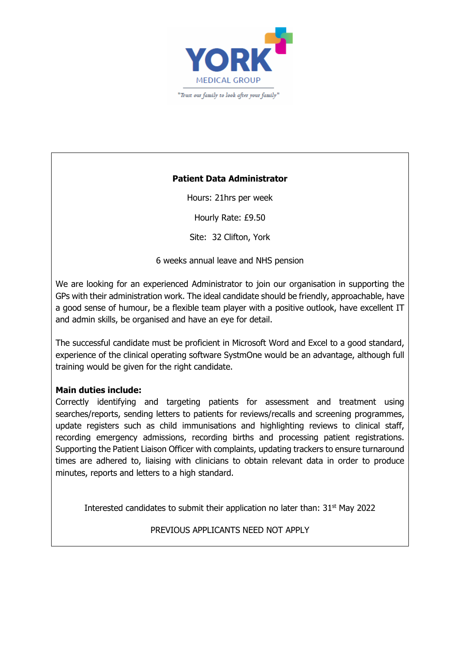

## **Patient Data Administrator**

Hours: 21hrs per week

Hourly Rate: £9.50

Site: 32 Clifton, York

6 weeks annual leave and NHS pension

We are looking for an experienced Administrator to join our organisation in supporting the GPs with their administration work. The ideal candidate should be friendly, approachable, have a good sense of humour, be a flexible team player with a positive outlook, have excellent IT and admin skills, be organised and have an eye for detail.

The successful candidate must be proficient in Microsoft Word and Excel to a good standard, experience of the clinical operating software SystmOne would be an advantage, although full training would be given for the right candidate.

### **Main duties include:**

Correctly identifying and targeting patients for assessment and treatment using searches/reports, sending letters to patients for reviews/recalls and screening programmes, update registers such as child immunisations and highlighting reviews to clinical staff, recording emergency admissions, recording births and processing patient registrations. Supporting the Patient Liaison Officer with complaints, updating trackers to ensure turnaround times are adhered to, liaising with clinicians to obtain relevant data in order to produce minutes, reports and letters to a high standard.

Interested candidates to submit their application no later than: 31<sup>st</sup> May 2022

PREVIOUS APPLICANTS NEED NOT APPLY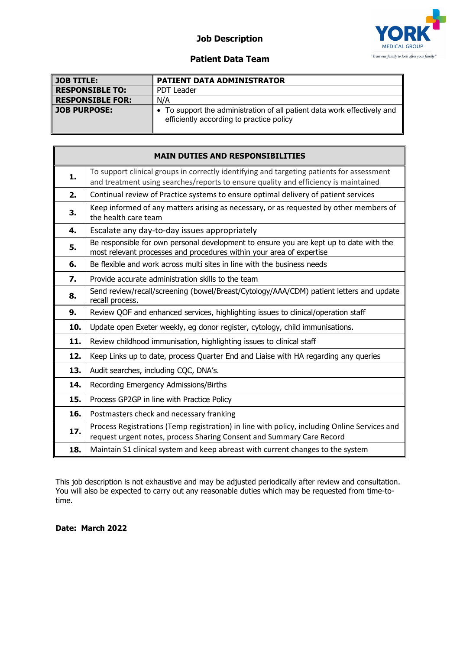## **Job Description**



#### **Patient Data Team**

| $\parallel$ JOB TITLE:  | PATIENT DATA ADMINISTRATOR                                                                                           |
|-------------------------|----------------------------------------------------------------------------------------------------------------------|
| <b>RESPONSIBLE TO:</b>  | <b>PDT Leader</b>                                                                                                    |
| <b>RESPONSIBLE FOR:</b> | N/A                                                                                                                  |
| <b>JOB PURPOSE:</b>     | • To support the administration of all patient data work effectively and<br>efficiently according to practice policy |

| <b>MAIN DUTIES AND RESPONSIBILITIES</b> |                                                                                                                                                                                  |  |
|-----------------------------------------|----------------------------------------------------------------------------------------------------------------------------------------------------------------------------------|--|
| 1.                                      | To support clinical groups in correctly identifying and targeting patients for assessment<br>and treatment using searches/reports to ensure quality and efficiency is maintained |  |
| 2.                                      | Continual review of Practice systems to ensure optimal delivery of patient services                                                                                              |  |
| 3.                                      | Keep informed of any matters arising as necessary, or as requested by other members of<br>the health care team                                                                   |  |
| 4.                                      | Escalate any day-to-day issues appropriately                                                                                                                                     |  |
| 5.                                      | Be responsible for own personal development to ensure you are kept up to date with the<br>most relevant processes and procedures within your area of expertise                   |  |
| 6.                                      | Be flexible and work across multi sites in line with the business needs                                                                                                          |  |
| 7.                                      | Provide accurate administration skills to the team                                                                                                                               |  |
| 8.                                      | Send review/recall/screening (bowel/Breast/Cytology/AAA/CDM) patient letters and update<br>recall process.                                                                       |  |
| 9.                                      | Review QOF and enhanced services, highlighting issues to clinical/operation staff                                                                                                |  |
| 10.                                     | Update open Exeter weekly, eg donor register, cytology, child immunisations.                                                                                                     |  |
| 11.                                     | Review childhood immunisation, highlighting issues to clinical staff                                                                                                             |  |
| 12.                                     | Keep Links up to date, process Quarter End and Liaise with HA regarding any queries                                                                                              |  |
| 13.                                     | Audit searches, including CQC, DNA's.                                                                                                                                            |  |
| 14.                                     | Recording Emergency Admissions/Births                                                                                                                                            |  |
| 15.                                     | Process GP2GP in line with Practice Policy                                                                                                                                       |  |
| 16.                                     | Postmasters check and necessary franking                                                                                                                                         |  |
| 17.                                     | Process Registrations (Temp registration) in line with policy, including Online Services and<br>request urgent notes, process Sharing Consent and Summary Care Record            |  |
| 18.                                     | Maintain S1 clinical system and keep abreast with current changes to the system                                                                                                  |  |

This job description is not exhaustive and may be adjusted periodically after review and consultation. You will also be expected to carry out any reasonable duties which may be requested from time-totime.

**Date: March 2022**